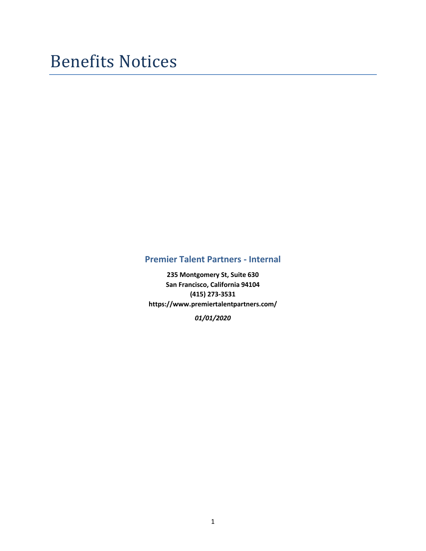# Benefits Notices

### **Premier Talent Partners - Internal**

**235 Montgomery St, Suite 630 San Francisco, California 94104 (415) 273-3531 https://www.premiertalentpartners.com/** *01/01/2020*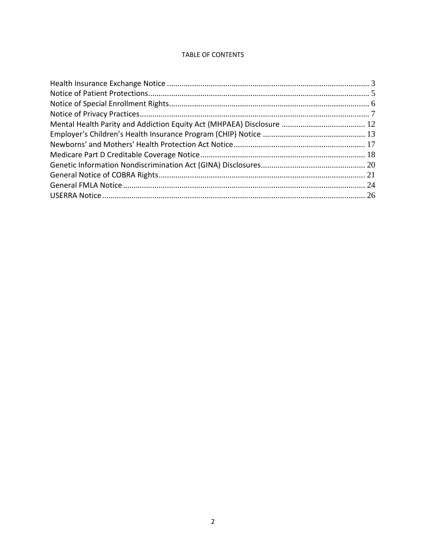### TABLE OF CONTENTS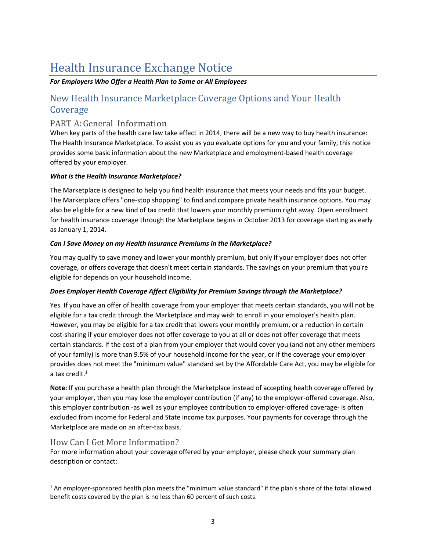# <span id="page-2-0"></span>Health Insurance Exchange Notice

### *For Employers Who Offer a Health Plan to Some or All Employees*

# New Health Insurance Marketplace Coverage Options and Your Health Coverage

### PART A:General Information

When key parts of the health care law take effect in 2014, there will be a new way to buy health insurance: The Health Insurance Marketplace. To assist you as you evaluate options for you and your family, this notice provides some basic information about the new Marketplace and employment-based health coverage offered by your employer.

### *What is the Health Insurance Marketplace?*

The Marketplace is designed to help you find health insurance that meets your needs and fits your budget. The Marketplace offers "one-stop shopping" to find and compare private health insurance options. You may also be eligible for a new kind of tax credit that lowers your monthly premium right away. Open enrollment for health insurance coverage through the Marketplace begins in October 2013 for coverage starting as early as January 1, 2014.

### *Can I Save Money on my Health Insurance Premiums in the Marketplace?*

You may qualify to save money and lower your monthly premium, but only if your employer does not offer coverage, or offers coverage that doesn't meet certain standards. The savings on your premium that you're eligible for depends on your household income.

### *Does Employer Health Coverage Affect Eligibility for Premium Savings through the Marketplace?*

Yes. If you have an offer of health coverage from your employer that meets certain standards, you will not be eligible for a tax credit through the Marketplace and may wish to enroll in your employer's health plan. However, you may be eligible for a tax credit that lowers your monthly premium, or a reduction in certain cost-sharing if your employer does not offer coverage to you at all or does not offer coverage that meets certain standards. If the cost of a plan from your employer that would cover you (and not any other members of your family) is more than 9.5% of your household income for the year, or if the coverage your employer provides does not meet the "minimum value" standard set by the Affordable Care Act, you may be eligible for a tax credit.<sup>1</sup>

**Note:** If you purchase a health plan through the Marketplace instead of accepting health coverage offered by your employer, then you may lose the employer contribution (if any) to the employer-offered coverage. Also, this employer contribution -as well as your employee contribution to employer-offered coverage- is often excluded from income for Federal and State income tax purposes. Your payments for coverage through the Marketplace are made on an after-tax basis.

### How Can I Get More Information?

 $\overline{a}$ 

For more information about your coverage offered by your employer, please check your summary plan description or contact:

 $1$  An employer-sponsored health plan meets the "minimum value standard" if the plan's share of the total allowed benefit costs covered by the plan is no less than 60 percent of such costs.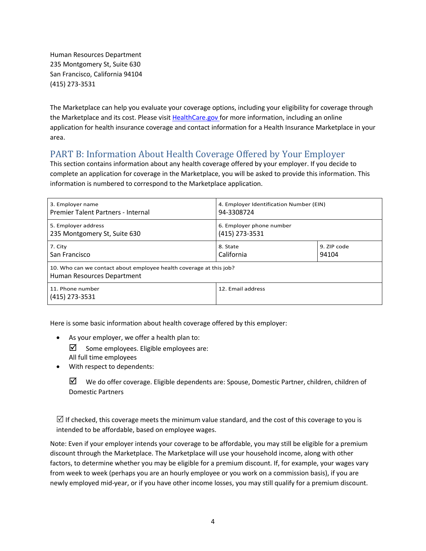Human Resources Department 235 Montgomery St, Suite 630 San Francisco, California 94104 (415) 273-3531

The Marketplace can help you evaluate your coverage options, including your eligibility for coverage through the Marketplace and its cost. Please visi[t HealthCare.gov f](http://www.healthcare.gov/)or more information, including an online application for health insurance coverage and contact information for a Health Insurance Marketplace in your area.

# PART B: Information About Health Coverage Offered by Your Employer

This section contains information about any health coverage offered by your employer. If you decide to complete an application for coverage in the Marketplace, you will be asked to provide this information. This information is numbered to correspond to the Marketplace application.

| 3. Employer name                                                                                 | 4. Employer Identification Number (EIN) |             |  |
|--------------------------------------------------------------------------------------------------|-----------------------------------------|-------------|--|
| Premier Talent Partners - Internal                                                               | 94-3308724                              |             |  |
| 5. Employer address                                                                              | 6. Employer phone number                |             |  |
| 235 Montgomery St, Suite 630                                                                     | $(415)$ 273-3531                        |             |  |
| 7. City                                                                                          | 8. State                                | 9. ZIP code |  |
| San Francisco                                                                                    | California                              | 94104       |  |
| 10. Who can we contact about employee health coverage at this job?<br>Human Resources Department |                                         |             |  |
| 11. Phone number<br>$(415)$ 273-3531                                                             | 12. Email address                       |             |  |

Here is some basic information about health coverage offered by this employer:

- As your employer, we offer a health plan to:
	- $\triangleright$  Some employees. Eligible employees are: All full time employees
- With respect to dependents:

We do offer coverage. Eligible dependents are: Spouse, Domestic Partner, children, children of Domestic Partners

 $\boxtimes$  If checked, this coverage meets the minimum value standard, and the cost of this coverage to you is intended to be affordable, based on employee wages.

Note: Even if your employer intends your coverage to be affordable, you may still be eligible for a premium discount through the Marketplace. The Marketplace will use your household income, along with other factors, to determine whether you may be eligible for a premium discount. If, for example, your wages vary from week to week (perhaps you are an hourly employee or you work on a commission basis), if you are newly employed mid-year, or if you have other income losses, you may still qualify for a premium discount.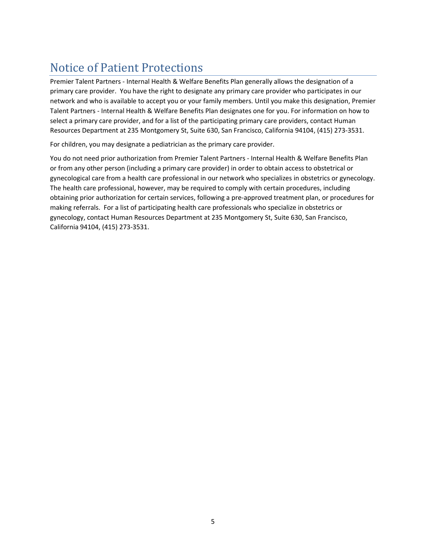# <span id="page-4-0"></span>Notice of Patient Protections

Premier Talent Partners - Internal Health & Welfare Benefits Plan generally allows the designation of a primary care provider. You have the right to designate any primary care provider who participates in our network and who is available to accept you or your family members. Until you make this designation, Premier Talent Partners - Internal Health & Welfare Benefits Plan designates one for you. For information on how to select a primary care provider, and for a list of the participating primary care providers, contact Human Resources Department at 235 Montgomery St, Suite 630, San Francisco, California 94104, (415) 273-3531.

For children, you may designate a pediatrician as the primary care provider.

You do not need prior authorization from Premier Talent Partners - Internal Health & Welfare Benefits Plan or from any other person (including a primary care provider) in order to obtain access to obstetrical or gynecological care from a health care professional in our network who specializes in obstetrics or gynecology. The health care professional, however, may be required to comply with certain procedures, including obtaining prior authorization for certain services, following a pre-approved treatment plan, or procedures for making referrals. For a list of participating health care professionals who specialize in obstetrics or gynecology, contact Human Resources Department at 235 Montgomery St, Suite 630, San Francisco, California 94104, (415) 273-3531.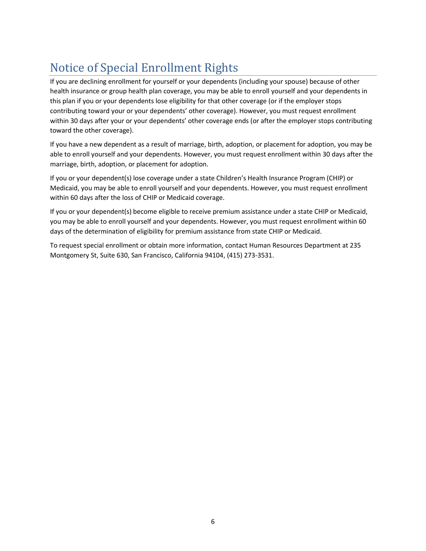# <span id="page-5-0"></span>Notice of Special Enrollment Rights

If you are declining enrollment for yourself or your dependents (including your spouse) because of other health insurance or group health plan coverage, you may be able to enroll yourself and your dependents in this plan if you or your dependents lose eligibility for that other coverage (or if the employer stops contributing toward your or your dependents' other coverage). However, you must request enrollment within 30 days after your or your dependents' other coverage ends (or after the employer stops contributing toward the other coverage).

If you have a new dependent as a result of marriage, birth, adoption, or placement for adoption, you may be able to enroll yourself and your dependents. However, you must request enrollment within 30 days after the marriage, birth, adoption, or placement for adoption.

If you or your dependent(s) lose coverage under a state Children's Health Insurance Program (CHIP) or Medicaid, you may be able to enroll yourself and your dependents. However, you must request enrollment within 60 days after the loss of CHIP or Medicaid coverage.

If you or your dependent(s) become eligible to receive premium assistance under a state CHIP or Medicaid, you may be able to enroll yourself and your dependents. However, you must request enrollment within 60 days of the determination of eligibility for premium assistance from state CHIP or Medicaid.

To request special enrollment or obtain more information, contact Human Resources Department at 235 Montgomery St, Suite 630, San Francisco, California 94104, (415) 273-3531.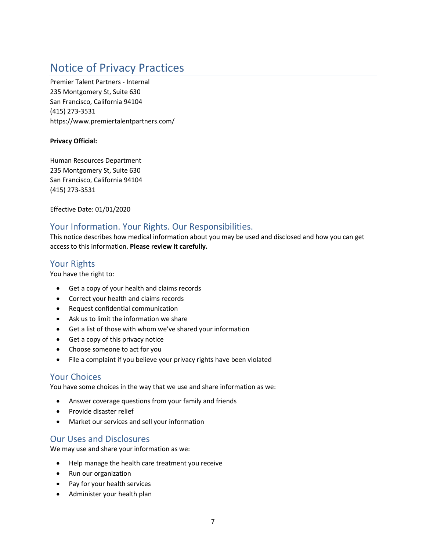# <span id="page-6-0"></span>Notice of Privacy Practices

Premier Talent Partners - Internal 235 Montgomery St, Suite 630 San Francisco, California 94104 (415) 273-3531 https://www.premiertalentpartners.com/

### **Privacy Official:**

Human Resources Department 235 Montgomery St, Suite 630 San Francisco, California 94104 (415) 273-3531

Effective Date: 01/01/2020

### Your Information. Your Rights. Our Responsibilities.

This notice describes how medical information about you may be used and disclosed and how you can get access to this information. **Please review it carefully.**

### Your Rights

You have the right to:

- Get a copy of your health and claims records
- Correct your health and claims records
- Request confidential communication
- Ask us to limit the information we share
- Get a list of those with whom we've shared your information
- Get a copy of this privacy notice
- Choose someone to act for you
- File a complaint if you believe your privacy rights have been violated

### Your Choices

You have some choices in the way that we use and share information as we:

- Answer coverage questions from your family and friends
- Provide disaster relief
- Market our services and sell your information

### Our Uses and Disclosures

We may use and share your information as we:

- Help manage the health care treatment you receive
- Run our organization
- Pay for your health services
- Administer your health plan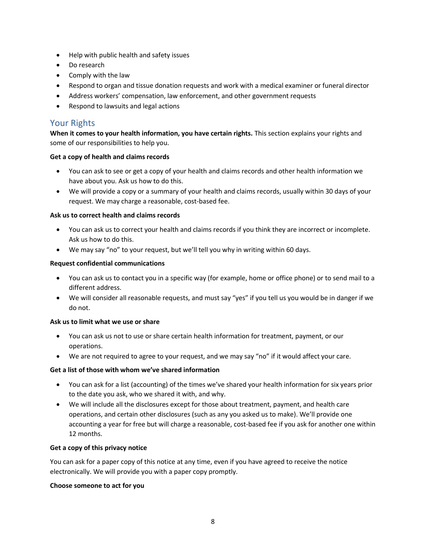- Help with public health and safety issues
- Do research
- Comply with the law
- Respond to organ and tissue donation requests and work with a medical examiner or funeral director
- Address workers' compensation, law enforcement, and other government requests
- Respond to lawsuits and legal actions

### Your Rights

**When it comes to your health information, you have certain rights.** This section explains your rights and some of our responsibilities to help you.

### **Get a copy of health and claims records**

- You can ask to see or get a copy of your health and claims records and other health information we have about you. Ask us how to do this.
- We will provide a copy or a summary of your health and claims records, usually within 30 days of your request. We may charge a reasonable, cost-based fee.

### **Ask us to correct health and claims records**

- You can ask us to correct your health and claims records if you think they are incorrect or incomplete. Ask us how to do this.
- We may say "no" to your request, but we'll tell you why in writing within 60 days.

### **Request confidential communications**

- You can ask us to contact you in a specific way (for example, home or office phone) or to send mail to a different address.
- We will consider all reasonable requests, and must say "yes" if you tell us you would be in danger if we do not.

### **Ask us to limit what we use or share**

- You can ask us not to use or share certain health information for treatment, payment, or our operations.
- We are not required to agree to your request, and we may say "no" if it would affect your care.

### **Get a list of those with whom we've shared information**

- You can ask for a list (accounting) of the times we've shared your health information for six years prior to the date you ask, who we shared it with, and why.
- We will include all the disclosures except for those about treatment, payment, and health care operations, and certain other disclosures (such as any you asked us to make). We'll provide one accounting a year for free but will charge a reasonable, cost-based fee if you ask for another one within 12 months.

### **Get a copy of this privacy notice**

You can ask for a paper copy of this notice at any time, even if you have agreed to receive the notice electronically. We will provide you with a paper copy promptly.

### **Choose someone to act for you**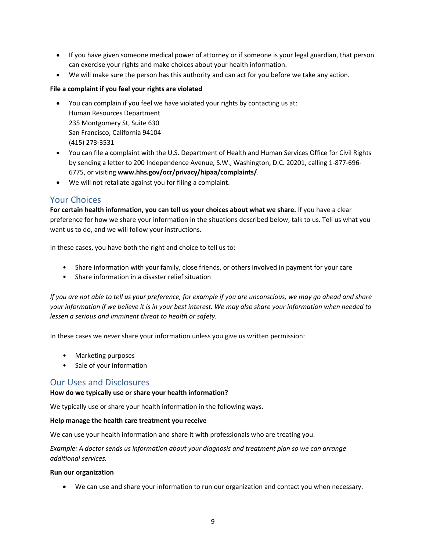- If you have given someone medical power of attorney or if someone is your legal guardian, that person can exercise your rights and make choices about your health information.
- We will make sure the person has this authority and can act for you before we take any action.

#### **File a complaint if you feel your rights are violated**

- You can complain if you feel we have violated your rights by contacting us at: Human Resources Department 235 Montgomery St, Suite 630 San Francisco, California 94104 (415) 273-3531
- You can file a complaint with the U.S. Department of Health and Human Services Office for Civil Rights by sending a letter to 200 Independence Avenue, S.W., Washington, D.C. 20201, calling 1-877-696- 6775, or visiting **www.hhs.gov/ocr/privacy/hipaa/complaints/**.
- We will not retaliate against you for filing a complaint.

### Your Choices

**For certain health information, you can tell us your choices about what we share.** If you have a clear preference for how we share your information in the situations described below, talk to us. Tell us what you want us to do, and we will follow your instructions.

In these cases, you have both the right and choice to tell us to:

- Share information with your family, close friends, or others involved in payment for your care
- Share information in a disaster relief situation

*If you are not able to tell us your preference, for example if you are unconscious, we may go ahead and share your information if we believe it is in your best interest. We may also share your information when needed to lessen a serious and imminent threat to health or safety.*

In these cases we *never* share your information unless you give us written permission:

- Marketing purposes
- Sale of your information

### Our Uses and Disclosures

#### **How do we typically use or share your health information?**

We typically use or share your health information in the following ways.

#### **Help manage the health care treatment you receive**

We can use your health information and share it with professionals who are treating you.

*Example: A doctor sends us information about your diagnosis and treatment plan so we can arrange additional services.*

#### **Run our organization**

We can use and share your information to run our organization and contact you when necessary.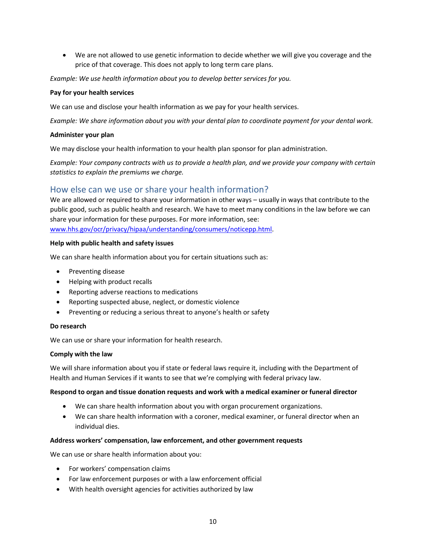We are not allowed to use genetic information to decide whether we will give you coverage and the price of that coverage. This does not apply to long term care plans.

*Example: We use health information about you to develop better services for you.* 

#### **Pay for your health services**

We can use and disclose your health information as we pay for your health services.

*Example: We share information about you with your dental plan to coordinate payment for your dental work.*

#### **Administer your plan**

We may disclose your health information to your health plan sponsor for plan administration.

*Example: Your company contracts with us to provide a health plan, and we provide your company with certain statistics to explain the premiums we charge.* 

### How else can we use or share your health information?

We are allowed or required to share your information in other ways – usually in ways that contribute to the public good, such as public health and research. We have to meet many conditions in the law before we can share your information for these purposes. For more information, see: [www.hhs.gov/ocr/privacy/hipaa/understanding/consumers/noticepp.html.](https://www.hhs.gov/hipaa/for-individuals/notice-privacy-practices/index.html)

#### **Help with public health and safety issues**

We can share health information about you for certain situations such as:

- Preventing disease
- Helping with product recalls
- Reporting adverse reactions to medications
- Reporting suspected abuse, neglect, or domestic violence
- Preventing or reducing a serious threat to anyone's health or safety

#### **Do research**

We can use or share your information for health research.

#### **Comply with the law**

We will share information about you if state or federal laws require it, including with the Department of Health and Human Services if it wants to see that we're complying with federal privacy law.

#### **Respond to organ and tissue donation requests and work with a medical examiner or funeral director**

- We can share health information about you with organ procurement organizations.
- We can share health information with a coroner, medical examiner, or funeral director when an individual dies.

#### **Address workers' compensation, law enforcement, and other government requests**

We can use or share health information about you:

- For workers' compensation claims
- For law enforcement purposes or with a law enforcement official
- With health oversight agencies for activities authorized by law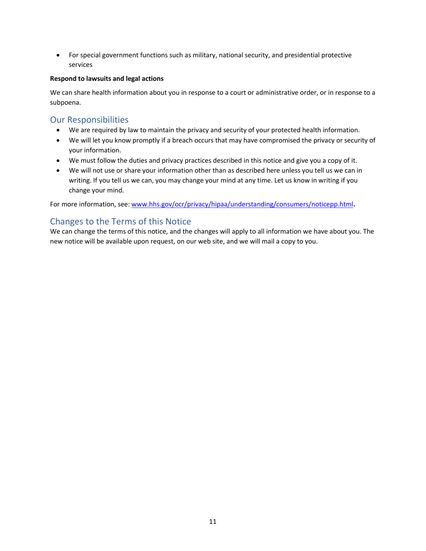For special government functions such as military, national security, and presidential protective services

### **Respond to lawsuits and legal actions**

We can share health information about you in response to a court or administrative order, or in response to a subpoena.

### Our Responsibilities

- We are required by law to maintain the privacy and security of your protected health information.
- We will let you know promptly if a breach occurs that may have compromised the privacy or security of your information.
- We must follow the duties and privacy practices described in this notice and give you a copy of it.
- We will not use or share your information other than as described here unless you tell us we can in writing. If you tell us we can, you may change your mind at any time. Let us know in writing if you change your mind.

For more information, see: [www.hhs.gov/ocr/privacy/hipaa/understanding/consumers/noticepp.html](http://www.hhs.gov/ocr/privacy/hipaa/understanding/consumers/noticepp.html)**.**

## Changes to the Terms of this Notice

We can change the terms of this notice, and the changes will apply to all information we have about you. The new notice will be available upon request, on our web site, and we will mail a copy to you.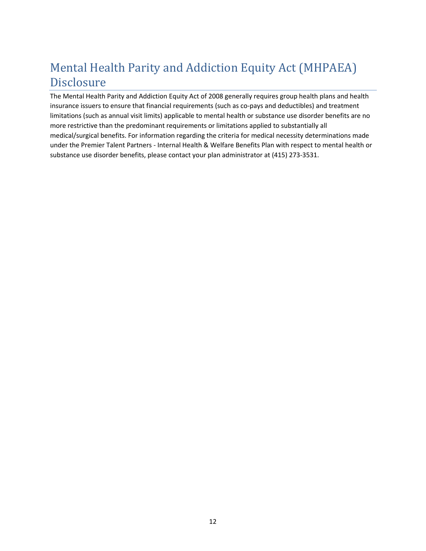# <span id="page-11-0"></span>Mental Health Parity and Addiction Equity Act (MHPAEA) Disclosure

The Mental Health Parity and Addiction Equity Act of 2008 generally requires group health plans and health insurance issuers to ensure that financial requirements (such as co-pays and deductibles) and treatment limitations (such as annual visit limits) applicable to mental health or substance use disorder benefits are no more restrictive than the predominant requirements or limitations applied to substantially all medical/surgical benefits. For information regarding the criteria for medical necessity determinations made under the Premier Talent Partners - Internal Health & Welfare Benefits Plan with respect to mental health or substance use disorder benefits, please contact your plan administrator at (415) 273-3531.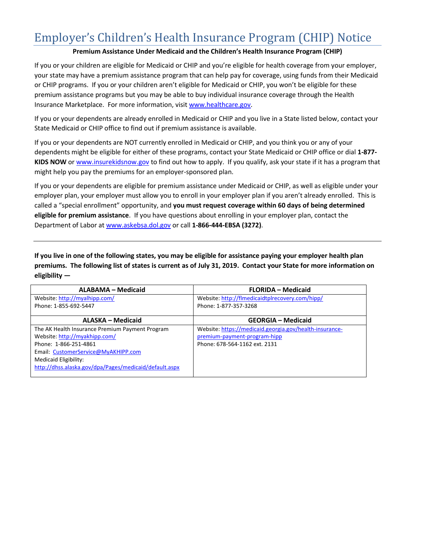# <span id="page-12-0"></span>Employer's Children's Health Insurance Program (CHIP) Notice

### **Premium Assistance Under Medicaid and the Children's Health Insurance Program (CHIP)**

If you or your children are eligible for Medicaid or CHIP and you're eligible for health coverage from your employer, your state may have a premium assistance program that can help pay for coverage, using funds from their Medicaid or CHIP programs. If you or your children aren't eligible for Medicaid or CHIP, you won't be eligible for these premium assistance programs but you may be able to buy individual insurance coverage through the Health Insurance Marketplace. For more information, visi[t www.healthcare.gov.](http://www.healthcare.gov/)

If you or your dependents are already enrolled in Medicaid or CHIP and you live in a State listed below, contact your State Medicaid or CHIP office to find out if premium assistance is available.

If you or your dependents are NOT currently enrolled in Medicaid or CHIP, and you think you or any of your dependents might be eligible for either of these programs, contact your State Medicaid or CHIP office or dial **1-877- KIDS NOW** o[r www.insurekidsnow.gov](http://www.insurekidsnow.gov/) to find out how to apply. If you qualify, ask your state if it has a program that might help you pay the premiums for an employer-sponsored plan.

If you or your dependents are eligible for premium assistance under Medicaid or CHIP, as well as eligible under your employer plan, your employer must allow you to enroll in your employer plan if you aren't already enrolled. This is called a "special enrollment" opportunity, and **you must request coverage within 60 days of being determined eligible for premium assistance**. If you have questions about enrolling in your employer plan, contact the Department of Labor a[t www.askebsa.dol.gov](http://www.askebsa.dol.gov/) or call **1-866-444-EBSA (3272)**.

**If you live in one of the following states, you may be eligible for assistance paying your employer health plan premiums. The following list of states is current as of July 31, 2019. Contact your State for more information on eligibility —**

| <b>ALABAMA - Medicaid</b>                              | <b>FLORIDA - Medicaid</b>                               |
|--------------------------------------------------------|---------------------------------------------------------|
| Website: http://myalhipp.com/                          | Website: http://flmedicaidtplrecovery.com/hipp/         |
| Phone: 1-855-692-5447                                  | Phone: 1-877-357-3268                                   |
|                                                        |                                                         |
| ALASKA – Medicaid                                      | <b>GEORGIA - Medicaid</b>                               |
| The AK Health Insurance Premium Payment Program        | Website: https://medicaid.georgia.gov/health-insurance- |
| Website: http://myakhipp.com/                          | premium-payment-program-hipp                            |
| Phone: 1-866-251-4861                                  | Phone: 678-564-1162 ext. 2131                           |
| Email: CustomerService@MyAKHIPP.com                    |                                                         |
| Medicaid Eligibility:                                  |                                                         |
| http://dhss.alaska.gov/dpa/Pages/medicaid/default.aspx |                                                         |
|                                                        |                                                         |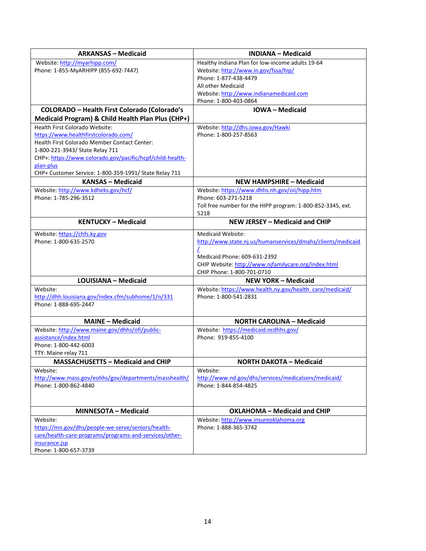| <b>ARKANSAS - Medicaid</b>                                   | <b>INDIANA - Medicaid</b>                                                          |
|--------------------------------------------------------------|------------------------------------------------------------------------------------|
| Website: http://myarhipp.com/                                | Healthy Indiana Plan for low-income adults 19-64                                   |
| Phone: 1-855-MyARHIPP (855-692-7447)                         | Website: http://www.in.gov/fssa/hip/                                               |
|                                                              | Phone: 1-877-438-4479                                                              |
|                                                              | All other Medicaid                                                                 |
|                                                              | Website: http://www.indianamedicaid.com                                            |
|                                                              | Phone: 1-800-403-0864                                                              |
| <b>COLORADO - Health First Colorado (Colorado's</b>          | <b>IOWA-Medicaid</b>                                                               |
| Medicaid Program) & Child Health Plan Plus (CHP+)            |                                                                                    |
| Health First Colorado Website:                               | Website: http://dhs.iowa.gov/Hawki                                                 |
| https://www.healthfirstcolorado.com/                         | Phone: 1-800-257-8563                                                              |
| Health First Colorado Member Contact Center:                 |                                                                                    |
| 1-800-221-3943/ State Relay 711                              |                                                                                    |
| CHP+: https://www.colorado.gov/pacific/hcpf/child-health-    |                                                                                    |
| plan-plus                                                    |                                                                                    |
| CHP+ Customer Service: 1-800-359-1991/ State Relay 711       |                                                                                    |
| <b>KANSAS - Medicaid</b>                                     | NEW HAMPSHIRE - Medicaid                                                           |
| Website: http://www.kdheks.gov/hcf/<br>Phone: 1-785-296-3512 | Website: https://www.dhhs.nh.gov/oii/hipp.htm<br>Phone: 603-271-5218               |
|                                                              |                                                                                    |
|                                                              | Toll free number for the HIPP program: 1-800-852-3345, ext.<br>5218                |
| <b>KENTUCKY - Medicaid</b>                                   | NEW JERSEY - Medicaid and CHIP                                                     |
|                                                              |                                                                                    |
| Website: https://chfs.ky.gov                                 | <b>Medicaid Website:</b>                                                           |
| Phone: 1-800-635-2570                                        | http://www.state.nj.us/humanservices/dmahs/clients/medicaid                        |
|                                                              |                                                                                    |
|                                                              | Medicaid Phone: 609-631-2392                                                       |
|                                                              | CHIP Website: http://www.njfamilycare.org/index.html<br>CHIP Phone: 1-800-701-0710 |
| <b>LOUISIANA - Medicaid</b>                                  | <b>NEW YORK - Medicaid</b>                                                         |
| Website:                                                     | Website: https://www.health.ny.gov/health_care/medicaid/                           |
| http://dhh.louisiana.gov/index.cfm/subhome/1/n/331           | Phone: 1-800-541-2831                                                              |
| Phone: 1-888-695-2447                                        |                                                                                    |
|                                                              |                                                                                    |
| <b>MAINE - Medicaid</b>                                      | <b>NORTH CAROLINA - Medicaid</b>                                                   |
| Website: http://www.maine.gov/dhhs/ofi/public-               | Website: https://medicaid.ncdhhs.gov/                                              |
| assistance/index.html                                        | Phone: 919-855-4100                                                                |
| Phone: 1-800-442-6003                                        |                                                                                    |
| TTY: Maine relay 711                                         |                                                                                    |
| <b>MASSACHUSETTS - Medicaid and CHIP</b>                     | <b>NORTH DAKOTA - Medicaid</b>                                                     |
| Website:                                                     | Website:                                                                           |
| http://www.mass.gov/eohhs/gov/departments/masshealth/        | http://www.nd.gov/dhs/services/medicalserv/medicaid/                               |
| Phone: 1-800-862-4840                                        | Phone: 1-844-854-4825                                                              |
|                                                              |                                                                                    |
|                                                              |                                                                                    |
| <b>MINNESOTA - Medicaid</b>                                  | <b>OKLAHOMA - Medicaid and CHIP</b>                                                |
| Website:                                                     | Website: http://www.insureoklahoma.org                                             |
| https://mn.gov/dhs/people-we-serve/seniors/health-           | Phone: 1-888-365-3742                                                              |
| care/health-care-programs/programs-and-services/other-       |                                                                                    |
| insurance.jsp<br>Phone: 1-800-657-3739                       |                                                                                    |
|                                                              |                                                                                    |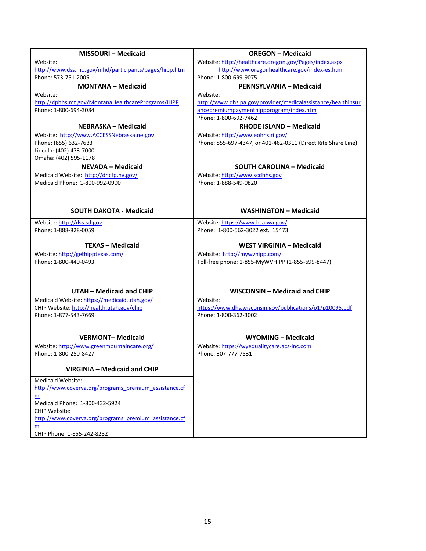| <b>MISSOURI-Medicaid</b>                              | <b>OREGON - Medicaid</b>                                      |
|-------------------------------------------------------|---------------------------------------------------------------|
| Website:                                              | Website: http://healthcare.oregon.gov/Pages/index.aspx        |
| http://www.dss.mo.gov/mhd/participants/pages/hipp.htm | http://www.oregonhealthcare.gov/index-es.html                 |
| Phone: 573-751-2005                                   | Phone: 1-800-699-9075                                         |
| <b>MONTANA - Medicaid</b>                             | PENNSYLVANIA - Medicaid                                       |
| Website:                                              | Website:                                                      |
| http://dphhs.mt.gov/MontanaHealthcarePrograms/HIPP    | http://www.dhs.pa.gov/provider/medicalassistance/healthinsur  |
| Phone: 1-800-694-3084                                 | ancepremiumpaymenthippprogram/index.htm                       |
|                                                       | Phone: 1-800-692-7462                                         |
| <b>NEBRASKA - Medicaid</b>                            | <b>RHODE ISLAND - Medicaid</b>                                |
| Website: http://www.ACCESSNebraska.ne.gov             | Website: http://www.eohhs.ri.gov/                             |
| Phone: (855) 632-7633                                 | Phone: 855-697-4347, or 401-462-0311 (Direct Rite Share Line) |
| Lincoln: (402) 473-7000                               |                                                               |
| Omaha: (402) 595-1178                                 |                                                               |
| <b>NEVADA - Medicaid</b>                              | <b>SOUTH CAROLINA - Medicaid</b>                              |
| Medicaid Website: http://dhcfp.nv.gov/                | Website: http://www.scdhhs.gov                                |
| Medicaid Phone: 1-800-992-0900                        | Phone: 1-888-549-0820                                         |
|                                                       |                                                               |
|                                                       |                                                               |
| <b>SOUTH DAKOTA - Medicaid</b>                        | <b>WASHINGTON - Medicaid</b>                                  |
| Website: http://dss.sd.gov                            | Website: https://www.hca.wa.gov/                              |
| Phone: 1-888-828-0059                                 | Phone: 1-800-562-3022 ext. 15473                              |
|                                                       |                                                               |
| <b>TEXAS - Medicaid</b>                               | WEST VIRGINIA - Medicaid                                      |
| Website: http://gethipptexas.com/                     | Website: http://mywvhipp.com/                                 |
| Phone: 1-800-440-0493                                 | Toll-free phone: 1-855-MyWVHIPP (1-855-699-8447)              |
|                                                       |                                                               |
|                                                       |                                                               |
| <b>UTAH - Medicaid and CHIP</b>                       | WISCONSIN - Medicaid and CHIP                                 |
| Medicaid Website: https://medicaid.utah.gov/          | Website:                                                      |
| CHIP Website: http://health.utah.gov/chip             | https://www.dhs.wisconsin.gov/publications/p1/p10095.pdf      |
| Phone: 1-877-543-7669                                 | Phone: 1-800-362-3002                                         |
|                                                       |                                                               |
|                                                       |                                                               |
| <b>VERMONT-Medicaid</b>                               | <b>WYOMING - Medicaid</b>                                     |
| Website: http://www.greenmountaincare.org/            | Website: https://wyequalitycare.acs-inc.com                   |
| Phone: 1-800-250-8427                                 | Phone: 307-777-7531                                           |
| VIRGINIA - Medicaid and CHIP                          |                                                               |
|                                                       |                                                               |
| <b>Medicaid Website:</b>                              |                                                               |
| http://www.coverva.org/programs premium assistance.cf |                                                               |
| m                                                     |                                                               |
| Medicaid Phone: 1-800-432-5924                        |                                                               |
| CHIP Website:                                         |                                                               |
| http://www.coverva.org/programs premium assistance.cf |                                                               |
| m                                                     |                                                               |
| CHIP Phone: 1-855-242-8282                            |                                                               |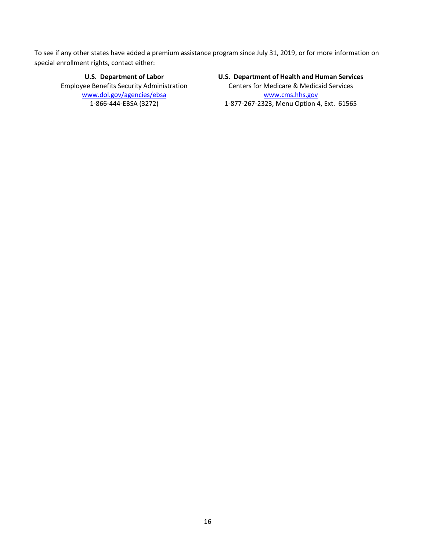To see if any other states have added a premium assistance program since July 31, 2019, or for more information on special enrollment rights, contact either:

**U.S. Department of Labor** Employee Benefits Security Administration [www.dol.gov/agencies/ebsa](https://www.dol.gov/agencies/ebsa) 1-866-444-EBSA (3272)

**U.S. Department of Health and Human Services** Centers for Medicare & Medicaid Services [www.cms.hhs.gov](http://www.cms.hhs.gov/) 1-877-267-2323, Menu Option 4, Ext. 61565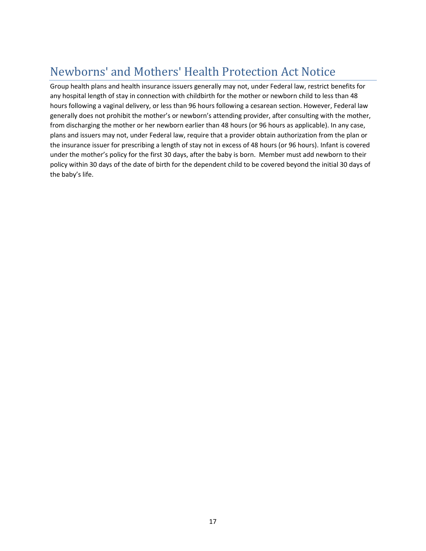# <span id="page-16-0"></span>Newborns' and Mothers' Health Protection Act Notice

Group health plans and health insurance issuers generally may not, under Federal law, restrict benefits for any hospital length of stay in connection with childbirth for the mother or newborn child to less than 48 hours following a vaginal delivery, or less than 96 hours following a cesarean section. However, Federal law generally does not prohibit the mother's or newborn's attending provider, after consulting with the mother, from discharging the mother or her newborn earlier than 48 hours (or 96 hours as applicable). In any case, plans and issuers may not, under Federal law, require that a provider obtain authorization from the plan or the insurance issuer for prescribing a length of stay not in excess of 48 hours (or 96 hours). Infant is covered under the mother's policy for the first 30 days, after the baby is born. Member must add newborn to their policy within 30 days of the date of birth for the dependent child to be covered beyond the initial 30 days of the baby's life.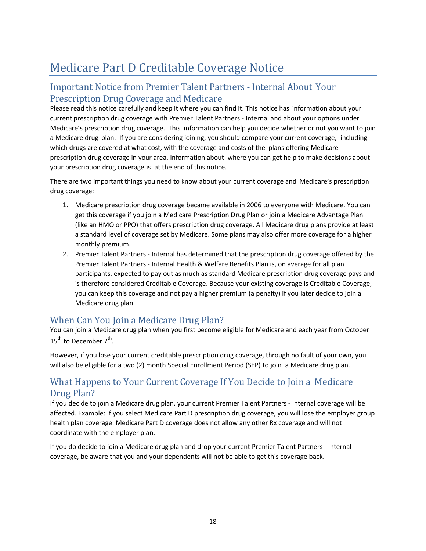# <span id="page-17-0"></span>Medicare Part D Creditable Coverage Notice

# Important Notice from Premier Talent Partners - Internal About Your Prescription Drug Coverage and Medicare

Please read this notice carefully and keep it where you can find it. This notice has information about your current prescription drug coverage with Premier Talent Partners - Internal and about your options under Medicare's prescription drug coverage. This information can help you decide whether or not you want to join a Medicare drug plan. If you are considering joining, you should compare your current coverage, including which drugs are covered at what cost, with the coverage and costs of the plans offering Medicare prescription drug coverage in your area. Information about where you can get help to make decisions about your prescription drug coverage is at the end of this notice.

There are two important things you need to know about your current coverage and Medicare's prescription drug coverage:

- 1. Medicare prescription drug coverage became available in 2006 to everyone with Medicare. You can get this coverage if you join a Medicare Prescription Drug Plan or join a Medicare Advantage Plan (like an HMO or PPO) that offers prescription drug coverage. All Medicare drug plans provide at least a standard level of coverage set by Medicare. Some plans may also offer more coverage for a higher monthly premium.
- 2. Premier Talent Partners Internal has determined that the prescription drug coverage offered by the Premier Talent Partners - Internal Health & Welfare Benefits Plan is, on average for all plan participants, expected to pay out as much as standard Medicare prescription drug coverage pays and is therefore considered Creditable Coverage. Because your existing coverage is Creditable Coverage, you can keep this coverage and not pay a higher premium (a penalty) if you later decide to join a Medicare drug plan.

### When Can You Join a Medicare Drug Plan?

You can join a Medicare drug plan when you first become eligible for Medicare and each year from October  $15^{\text{th}}$  to December 7<sup>th</sup>.

However, if you lose your current creditable prescription drug coverage, through no fault of your own, you will also be eligible for a two (2) month Special Enrollment Period (SEP) to join a Medicare drug plan.

# What Happens to Your Current Coverage If You Decide to Join a Medicare Drug Plan?

If you decide to join a Medicare drug plan, your current Premier Talent Partners - Internal coverage will be affected. Example: If you select Medicare Part D prescription drug coverage, you will lose the employer group health plan coverage. Medicare Part D coverage does not allow any other Rx coverage and will not coordinate with the employer plan.

If you do decide to join a Medicare drug plan and drop your current Premier Talent Partners - Internal coverage, be aware that you and your dependents will not be able to get this coverage back.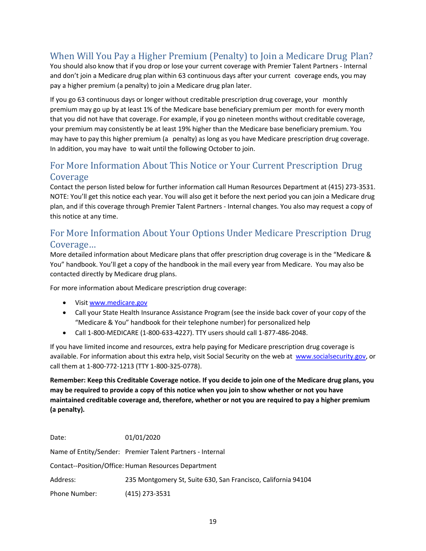# When Will You Pay a Higher Premium (Penalty) to Join a Medicare Drug Plan?

You should also know that if you drop or lose your current coverage with Premier Talent Partners - Internal and don't join a Medicare drug plan within 63 continuous days after your current coverage ends, you may pay a higher premium (a penalty) to join a Medicare drug plan later.

If you go 63 continuous days or longer without creditable prescription drug coverage, your monthly premium may go up by at least 1% of the Medicare base beneficiary premium per month for every month that you did not have that coverage. For example, if you go nineteen months without creditable coverage, your premium may consistently be at least 19% higher than the Medicare base beneficiary premium. You may have to pay this higher premium (a penalty) as long as you have Medicare prescription drug coverage. In addition, you may have to wait until the following October to join.

# For More Information About This Notice or Your Current Prescription Drug Coverage

Contact the person listed below for further information call Human Resources Department at (415) 273-3531. NOTE: You'll get this notice each year. You will also get it before the next period you can join a Medicare drug plan, and if this coverage through Premier Talent Partners - Internal changes. You also may request a copy of this notice at any time.

# For More Information About Your Options Under Medicare Prescription Drug Coverage…

More detailed information about Medicare plans that offer prescription drug coverage is in the "Medicare & You" handbook. You'll get a copy of the handbook in the mail every year from Medicare. You may also be contacted directly by Medicare drug plans.

For more information about Medicare prescription drug coverage:

- Visit [www.medicare.gov](http://www.medicare.gov/)
- Call your State Health Insurance Assistance Program (see the inside back cover of your copy of the "Medicare & You" handbook for their telephone number) for personalized help
- Call 1-800-MEDICARE (1-800-633-4227). TTY users should call 1-877-486-2048.

If you have limited income and resources, extra help paying for Medicare prescription drug coverage is available. For information about this extra help, visit Social Security on the web at [www.socialsecurity.gov,](http://www.socialsecurity.gov/) or call them at 1-800-772-1213 (TTY 1-800-325-0778).

**Remember: Keep this Creditable Coverage notice. If you decide to join one of the Medicare drug plans, you may be required to provide a copy of this notice when you join to show whether or not you have maintained creditable coverage and, therefore, whether or not you are required to pay a higher premium (a penalty).**

| Date:                                                | 01/01/2020                                                    |  |  |  |
|------------------------------------------------------|---------------------------------------------------------------|--|--|--|
|                                                      | Name of Entity/Sender: Premier Talent Partners - Internal     |  |  |  |
| Contact--Position/Office: Human Resources Department |                                                               |  |  |  |
| Address:                                             | 235 Montgomery St, Suite 630, San Francisco, California 94104 |  |  |  |
| Phone Number:                                        | (415) 273-3531                                                |  |  |  |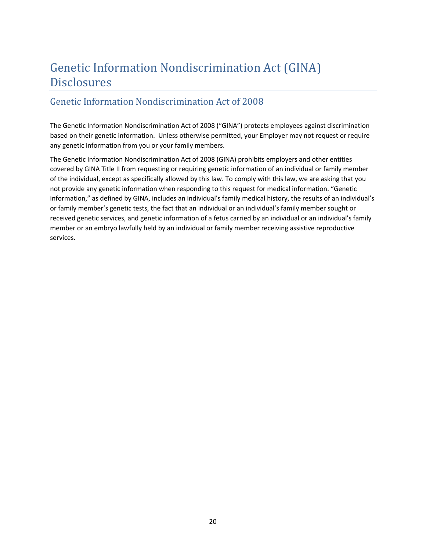# <span id="page-19-0"></span>Genetic Information Nondiscrimination Act (GINA) **Disclosures**

# Genetic Information Nondiscrimination Act of 2008

The Genetic Information Nondiscrimination Act of 2008 ("GINA") protects employees against discrimination based on their genetic information. Unless otherwise permitted, your Employer may not request or require any genetic information from you or your family members.

The Genetic Information Nondiscrimination Act of 2008 (GINA) prohibits employers and other entities covered by GINA Title II from requesting or requiring genetic information of an individual or family member of the individual, except as specifically allowed by this law. To comply with this law, we are asking that you not provide any genetic information when responding to this request for medical information. "Genetic information," as defined by GINA, includes an individual's family medical history, the results of an individual's or family member's genetic tests, the fact that an individual or an individual's family member sought or received genetic services, and genetic information of a fetus carried by an individual or an individual's family member or an embryo lawfully held by an individual or family member receiving assistive reproductive services.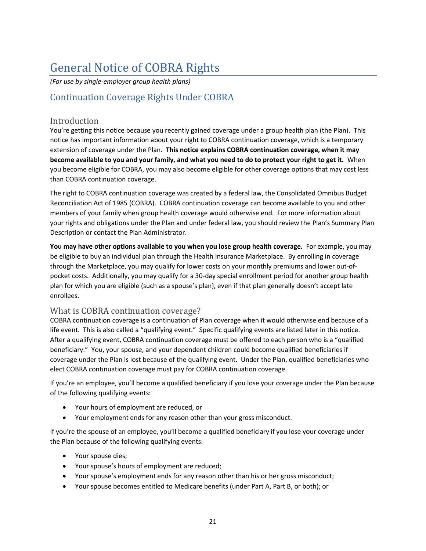# <span id="page-20-0"></span>General Notice of COBRA Rights

*(For use by single-employer group health plans)*

# Continuation Coverage Rights Under COBRA

### Introduction

You're getting this notice because you recently gained coverage under a group health plan (the Plan). This notice has important information about your right to COBRA continuation coverage, which is a temporary extension of coverage under the Plan. **This notice explains COBRA continuation coverage, when it may become available to you and your family, and what you need to do to protect your right to get it.** When you become eligible for COBRA, you may also become eligible for other coverage options that may cost less than COBRA continuation coverage.

The right to COBRA continuation coverage was created by a federal law, the Consolidated Omnibus Budget Reconciliation Act of 1985 (COBRA). COBRA continuation coverage can become available to you and other members of your family when group health coverage would otherwise end. For more information about your rights and obligations under the Plan and under federal law, you should review the Plan's Summary Plan Description or contact the Plan Administrator.

**You may have other options available to you when you lose group health coverage.** For example, you may be eligible to buy an individual plan through the Health Insurance Marketplace. By enrolling in coverage through the Marketplace, you may qualify for lower costs on your monthly premiums and lower out-ofpocket costs. Additionally, you may qualify for a 30-day special enrollment period for another group health plan for which you are eligible (such as a spouse's plan), even if that plan generally doesn't accept late enrollees.

### What is COBRA continuation coverage?

COBRA continuation coverage is a continuation of Plan coverage when it would otherwise end because of a life event. This is also called a "qualifying event." Specific qualifying events are listed later in this notice. After a qualifying event, COBRA continuation coverage must be offered to each person who is a "qualified beneficiary." You, your spouse, and your dependent children could become qualified beneficiaries if coverage under the Plan is lost because of the qualifying event. Under the Plan, qualified beneficiaries who elect COBRA continuation coverage must pay for COBRA continuation coverage.

If you're an employee, you'll become a qualified beneficiary if you lose your coverage under the Plan because of the following qualifying events:

- Your hours of employment are reduced, or
- Your employment ends for any reason other than your gross misconduct.

If you're the spouse of an employee, you'll become a qualified beneficiary if you lose your coverage under the Plan because of the following qualifying events:

- Your spouse dies;
- Your spouse's hours of employment are reduced;
- Your spouse's employment ends for any reason other than his or her gross misconduct;
- Your spouse becomes entitled to Medicare benefits (under Part A, Part B, or both); or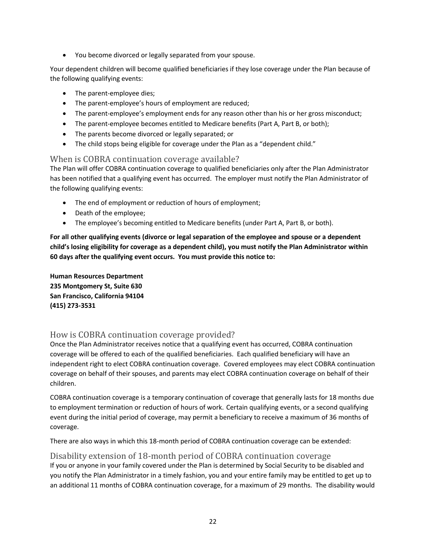You become divorced or legally separated from your spouse.

Your dependent children will become qualified beneficiaries if they lose coverage under the Plan because of the following qualifying events:

- The parent-employee dies;
- The parent-employee's hours of employment are reduced;
- The parent-employee's employment ends for any reason other than his or her gross misconduct;
- The parent-employee becomes entitled to Medicare benefits (Part A, Part B, or both);
- The parents become divorced or legally separated; or
- The child stops being eligible for coverage under the Plan as a "dependent child."

### When is COBRA continuation coverage available?

The Plan will offer COBRA continuation coverage to qualified beneficiaries only after the Plan Administrator has been notified that a qualifying event has occurred. The employer must notify the Plan Administrator of the following qualifying events:

- The end of employment or reduction of hours of employment;
- Death of the employee;
- The employee's becoming entitled to Medicare benefits (under Part A, Part B, or both).

**For all other qualifying events (divorce or legal separation of the employee and spouse or a dependent child's losing eligibility for coverage as a dependent child), you must notify the Plan Administrator within 60 days after the qualifying event occurs. You must provide this notice to:** 

**Human Resources Department 235 Montgomery St, Suite 630 San Francisco, California 94104 (415) 273-3531**

### How is COBRA continuation coverage provided?

Once the Plan Administrator receives notice that a qualifying event has occurred, COBRA continuation coverage will be offered to each of the qualified beneficiaries. Each qualified beneficiary will have an independent right to elect COBRA continuation coverage. Covered employees may elect COBRA continuation coverage on behalf of their spouses, and parents may elect COBRA continuation coverage on behalf of their children.

COBRA continuation coverage is a temporary continuation of coverage that generally lasts for 18 months due to employment termination or reduction of hours of work. Certain qualifying events, or a second qualifying event during the initial period of coverage, may permit a beneficiary to receive a maximum of 36 months of coverage.

There are also ways in which this 18-month period of COBRA continuation coverage can be extended:

### Disability extension of 18-month period of COBRA continuation coverage

If you or anyone in your family covered under the Plan is determined by Social Security to be disabled and you notify the Plan Administrator in a timely fashion, you and your entire family may be entitled to get up to an additional 11 months of COBRA continuation coverage, for a maximum of 29 months. The disability would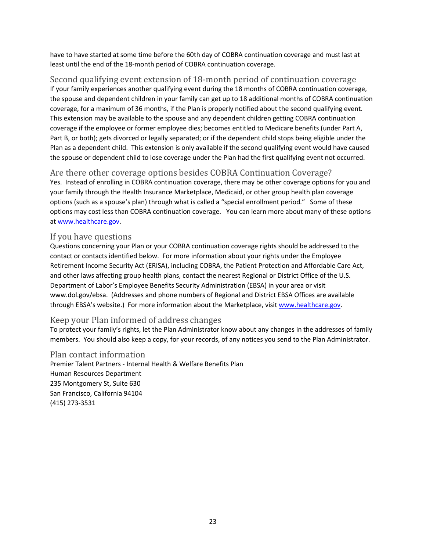have to have started at some time before the 60th day of COBRA continuation coverage and must last at least until the end of the 18-month period of COBRA continuation coverage.

Second qualifying event extension of 18-month period of continuation coverage If your family experiences another qualifying event during the 18 months of COBRA continuation coverage, the spouse and dependent children in your family can get up to 18 additional months of COBRA continuation coverage, for a maximum of 36 months, if the Plan is properly notified about the second qualifying event. This extension may be available to the spouse and any dependent children getting COBRA continuation coverage if the employee or former employee dies; becomes entitled to Medicare benefits (under Part A, Part B, or both); gets divorced or legally separated; or if the dependent child stops being eligible under the Plan as a dependent child. This extension is only available if the second qualifying event would have caused the spouse or dependent child to lose coverage under the Plan had the first qualifying event not occurred.

### Are there other coverage options besides COBRA Continuation Coverage?

Yes. Instead of enrolling in COBRA continuation coverage, there may be other coverage options for you and your family through the Health Insurance Marketplace, Medicaid, or other group health plan coverage options (such as a spouse's plan) through what is called a "special enrollment period." Some of these options may cost less than COBRA continuation coverage. You can learn more about many of these options at [www.healthcare.gov.](http://www.healthcare.gov/)

### If you have questions

Questions concerning your Plan or your COBRA continuation coverage rights should be addressed to the contact or contacts identified below. For more information about your rights under the Employee Retirement Income Security Act (ERISA), including COBRA, the Patient Protection and Affordable Care Act, and other laws affecting group health plans, contact the nearest Regional or District Office of the U.S. Department of Labor's Employee Benefits Security Administration (EBSA) in your area or visit www.dol.gov/ebsa. (Addresses and phone numbers of Regional and District EBSA Offices are available through EBSA's website.) For more information about the Marketplace, visi[t www.healthcare.gov.](http://www.healthcare.gov/)

### Keep your Plan informed of address changes

To protect your family's rights, let the Plan Administrator know about any changes in the addresses of family members.You should also keep a copy, for your records, of any notices you send to the Plan Administrator.

Plan contact information

Premier Talent Partners - Internal Health & Welfare Benefits Plan Human Resources Department 235 Montgomery St, Suite 630 San Francisco, California 94104 (415) 273-3531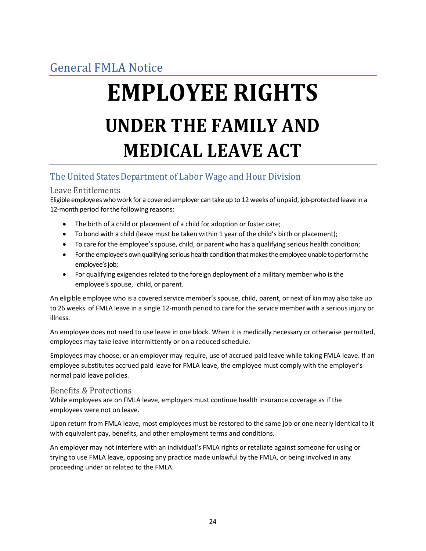# <span id="page-23-0"></span>General FMLA Notice

# **EMPLOYEE RIGHTS UNDER THE FAMILY AND MEDICAL LEAVE ACT**

# The United States Department of Labor Wage and Hour Division

### Leave Entitlements

Eligible employees who work for a covered employer can take up to 12 weeks of unpaid, job-protected leave in a 12-month period for the following reasons:

- The birth of a child or placement of a child for adoption or foster care;
- To bond with a child (leave must be taken within 1 year of the child's birth or placement);
- To care for the employee's spouse, child, or parent who has a qualifying serious health condition;
- For the employee's own qualifying serious health condition that makes the employee unable to perform the employee's job;
- For qualifying exigencies related to the foreign deployment of a military member who is the employee's spouse, child, or parent.

An eligible employee who is a covered service member's spouse, child, parent, or next of kin may also take up to 26 weeks of FMLA leave in a single 12-month period to care for the service member with a serious injury or illness.

An employee does not need to use leave in one block. When it is medically necessary or otherwise permitted, employees may take leave intermittently or on a reduced schedule.

Employees may choose, or an employer may require, use of accrued paid leave while taking FMLA leave. If an employee substitutes accrued paid leave for FMLA leave, the employee must comply with the employer's normal paid leave policies.

### Benefits & Protections

While employees are on FMLA leave, employers must continue health insurance coverage as if the employees were not on leave.

Upon return from FMLA leave, most employees must be restored to the same job or one nearly identical to it with equivalent pay, benefits, and other employment terms and conditions.

An employer may not interfere with an individual's FMLA rights or retaliate against someone for using or trying to use FMLA leave, opposing any practice made unlawful by the FMLA, or being involved in any proceeding under or related to the FMLA.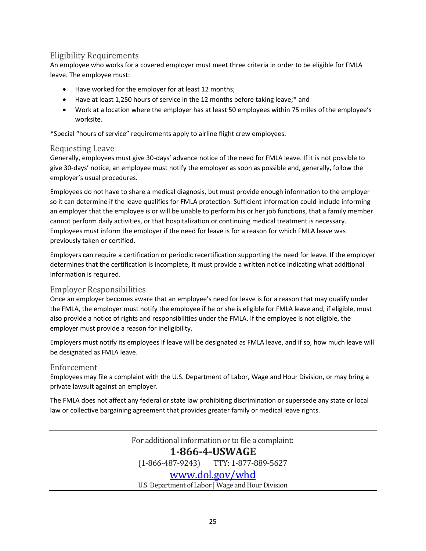### Eligibility Requirements

An employee who works for a covered employer must meet three criteria in order to be eligible for FMLA leave. The employee must:

- Have worked for the employer for at least 12 months;
- Have at least 1,250 hours of service in the 12 months before taking leave;\* and
- Work at a location where the employer has at least 50 employees within 75 miles of the employee's worksite.

\*Special "hours of service" requirements apply to airline flight crew employees.

### Requesting Leave

Generally, employees must give 30-days' advance notice of the need for FMLA leave. If it is not possible to give 30-days' notice, an employee must notify the employer as soon as possible and, generally, follow the employer's usual procedures.

Employees do not have to share a medical diagnosis, but must provide enough information to the employer so it can determine if the leave qualifies for FMLA protection. Sufficient information could include informing an employer that the employee is or will be unable to perform his or her job functions, that a family member cannot perform daily activities, or that hospitalization or continuing medical treatment is necessary. Employees must inform the employer if the need for leave is for a reason for which FMLA leave was previously taken or certified.

Employers can require a certification or periodic recertification supporting the need for leave. If the employer determines that the certification is incomplete, it must provide a written notice indicating what additional information is required.

### Employer Responsibilities

Once an employer becomes aware that an employee's need for leave is for a reason that may qualify under the FMLA, the employer must notify the employee if he or she is eligible for FMLA leave and, if eligible, must also provide a notice of rights and responsibilities under the FMLA. If the employee is not eligible, the employer must provide a reason for ineligibility.

Employers must notify its employees if leave will be designated as FMLA leave, and if so, how much leave will be designated as FMLA leave.

### Enforcement

Employees may file a complaint with the U.S. Department of Labor, Wage and Hour Division, or may bring a private lawsuit against an employer.

The FMLA does not affect any federal or state law prohibiting discrimination or supersede any state or local law or collective bargaining agreement that provides greater family or medical leave rights.

> For additional information or to file a complaint: **1-866-4-USWAGE** (1-866-487-9243) TTY: 1-877-889-5627 [www.dol.gov/whd](http://www.dol.gov/whd)

U.S. Department of Labor | Wage and Hour Division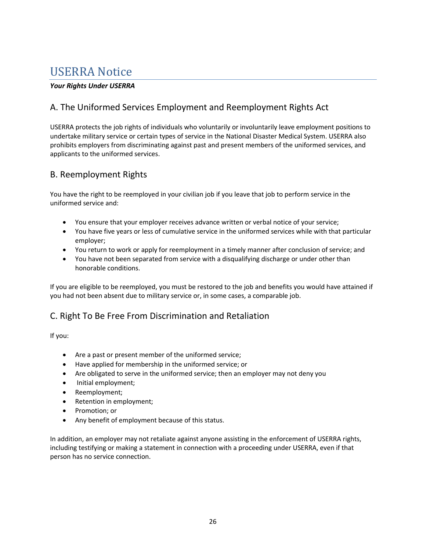# <span id="page-25-0"></span>USERRA Notice

### *Your Rights Under USERRA*

### A. The Uniformed Services Employment and Reemployment Rights Act

USERRA protects the job rights of individuals who voluntarily or involuntarily leave employment positions to undertake military service or certain types of service in the National Disaster Medical System. USERRA also prohibits employers from discriminating against past and present members of the uniformed services, and applicants to the uniformed services.

### B. Reemployment Rights

You have the right to be reemployed in your civilian job if you leave that job to perform service in the uniformed service and:

- You ensure that your employer receives advance written or verbal notice of your service;
- You have five years or less of cumulative service in the uniformed services while with that particular employer;
- You return to work or apply for reemployment in a timely manner after conclusion of service; and
- You have not been separated from service with a disqualifying discharge or under other than honorable conditions.

If you are eligible to be reemployed, you must be restored to the job and benefits you would have attained if you had not been absent due to military service or, in some cases, a comparable job.

### C. Right To Be Free From Discrimination and Retaliation

If you:

- Are a past or present member of the uniformed service;
- Have applied for membership in the uniformed service; or
- Are obligated to serve in the uniformed service; then an employer may not deny you
- Initial employment;
- Reemployment;
- Retention in employment;
- Promotion: or
- Any benefit of employment because of this status.

In addition, an employer may not retaliate against anyone assisting in the enforcement of USERRA rights, including testifying or making a statement in connection with a proceeding under USERRA, even if that person has no service connection.